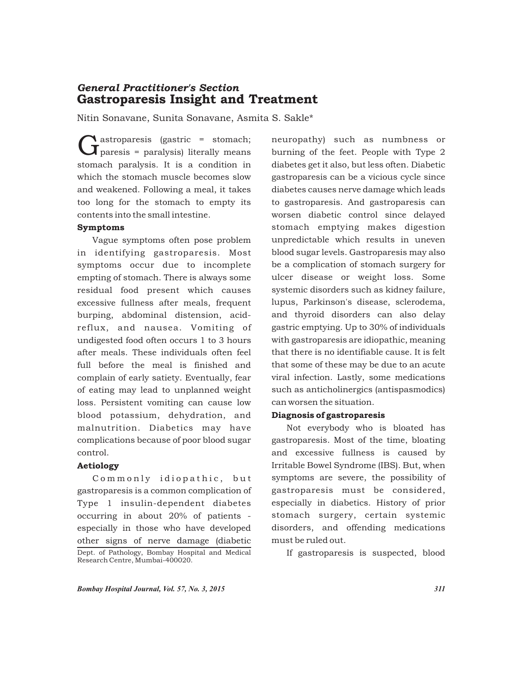# Gastroparesis Insight and Treatment *General Practitioner's Section*

Nitin Sonavane, Sunita Sonavane, Asmita S. Sakle\*

**A** astroparesis (gastric = stomach;<br>**J** paresis = paralysis) literally means stomach paralysis. It is a condition in which the stomach muscle becomes slow and weakened. Following a meal, it takes too long for the stomach to empty its contents into the small intestine.

#### Symptoms

Vague symptoms often pose problem in identifying gastroparesis. Most symptoms occur due to incomplete empting of stomach. There is always some residual food present which causes excessive fullness after meals, frequent burping, abdominal distension, acidreflux, and nausea. Vomiting of undigested food often occurs 1 to 3 hours after meals. These individuals often feel full before the meal is finished and complain of early satiety. Eventually, fear of eating may lead to unplanned weight loss. Persistent vomiting can cause low blood potassium, dehydration, and malnutrition. Diabetics may have complications because of poor blood sugar control.

## Aetiology

Commonly idiopathic, but gastroparesis is a common complication of Type 1 insulin-dependent diabetes occurring in about 20% of patients especially in those who have developed other signs of nerve damage (diabetic Dept. of Pathology, Bombay Hospital and Medical If gastroparesis is suspected, blood Research Centre, Mumbai-400020.

neuropathy) such as numbness or burning of the feet. People with Type 2 diabetes get it also, but less often. Diabetic gastroparesis can be a vicious cycle since diabetes causes nerve damage which leads to gastroparesis. And gastroparesis can worsen diabetic control since delayed stomach emptying makes digestion unpredictable which results in uneven blood sugar levels. Gastroparesis may also be a complication of stomach surgery for ulcer disease or weight loss. Some systemic disorders such as kidney failure, lupus, Parkinson's disease, sclerodema, and thyroid disorders can also delay gastric emptying. Up to 30% of individuals with gastroparesis are idiopathic, meaning that there is no identifiable cause. It is felt that some of these may be due to an acute viral infection. Lastly, some medications such as anticholinergics (antispasmodics) can worsen the situation.

## Diagnosis of gastroparesis

Not everybody who is bloated has gastroparesis. Most of the time, bloating and excessive fullness is caused by Irritable Bowel Syndrome (IBS). But, when symptoms are severe, the possibility of gastroparesis must be considered, especially in diabetics. History of prior stomach surgery, certain systemic disorders, and offending medications must be ruled out.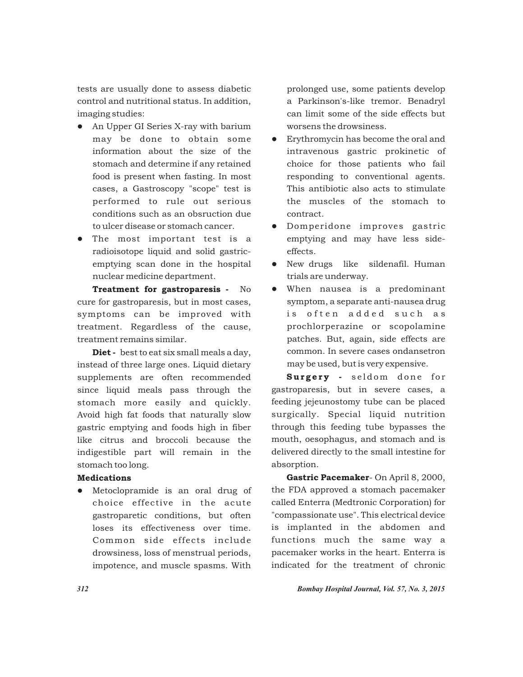tests are usually done to assess diabetic control and nutritional status. In addition, imaging studies:

- An Upper GI Series X-ray with barium may be done to obtain some information about the size of the stomach and determine if any retained food is present when fasting. In most cases, a Gastroscopy "scope" test is performed to rule out serious conditions such as an obsruction due to ulcer disease or stomach cancer.
- The most important test is a radioisotope liquid and solid gastricemptying scan done in the hospital nuclear medicine department.

Treatment for gastroparesis - No cure for gastroparesis, but in most cases, symptoms can be improved with treatment. Regardless of the cause, treatment remains similar.

Diet - best to eat six small meals a day, instead of three large ones. Liquid dietary supplements are often recommended since liquid meals pass through the stomach more easily and quickly. Avoid high fat foods that naturally slow gastric emptying and foods high in fiber like citrus and broccoli because the indigestible part will remain in the stomach too long.

#### Medications

• Metoclopramide is an oral drug of choice effective in the acute gastroparetic conditions, but often loses its effectiveness over time. Common side effects include drowsiness, loss of menstrual periods, impotence, and muscle spasms. With

prolonged use, some patients develop a Parkinson's-like tremor. Benadryl can limit some of the side effects but worsens the drowsiness.

- Erythromycin has become the oral and intravenous gastric prokinetic of choice for those patients who fail responding to conventional agents. This antibiotic also acts to stimulate the muscles of the stomach to contract.
- **•** Domperidone improves gastric emptying and may have less sideeffects.
- New drugs like sildenafil. Human trials are underway.
- When nausea is a predominant symptom, a separate anti-nausea drug is often added such as prochlorperazine or scopolamine patches. But, again, side effects are common. In severe cases ondansetron may be used, but is very expensive.

Surgery - seldom done for gastroparesis, but in severe cases, a feeding jejeunostomy tube can be placed surgically. Special liquid nutrition through this feeding tube bypasses the mouth, oesophagus, and stomach and is delivered directly to the small intestine for absorption.

Gastric Pacemaker- On April 8, 2000, the FDA approved a stomach pacemaker called Enterra (Medtronic Corporation) for "compassionate use". This electrical device is implanted in the abdomen and functions much the same way a pacemaker works in the heart. Enterra is indicated for the treatment of chronic

*312 Bombay Hospital Journal, Vol. 57, No. 3, 2015*